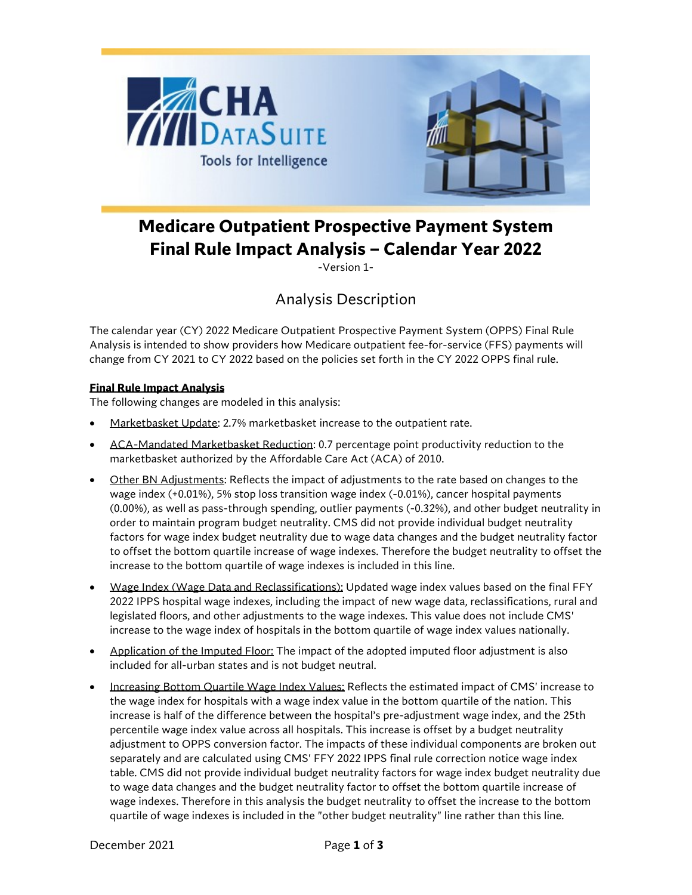

# **Medicare Outpatient Prospective Payment System Final Rule Impact Analysis – Calendar Year 2022**

-Version 1-

## Analysis Description

The calendar year (CY) 2022 Medicare Outpatient Prospective Payment System (OPPS) Final Rule Analysis is intended to show providers how Medicare outpatient fee-for-service (FFS) payments will change from CY 2021 to CY 2022 based on the policies set forth in the CY 2022 OPPS final rule.

### **Final Rule Impact Analysis**

The following changes are modeled in this analysis:

- Marketbasket Update: 2.7% marketbasket increase to the outpatient rate.
- ACA-Mandated Marketbasket Reduction: 0.7 percentage point productivity reduction to the marketbasket authorized by the Affordable Care Act (ACA) of 2010.
- Other BN Adjustments: Reflects the impact of adjustments to the rate based on changes to the wage index (+0.01%), 5% stop loss transition wage index (-0.01%), cancer hospital payments (0.00%), as well as pass-through spending, outlier payments (-0.32%), and other budget neutrality in order to maintain program budget neutrality. CMS did not provide individual budget neutrality factors for wage index budget neutrality due to wage data changes and the budget neutrality factor to offset the bottom quartile increase of wage indexes. Therefore the budget neutrality to offset the increase to the bottom quartile of wage indexes is included in this line.
- Wage Index (Wage Data and Reclassifications): Updated wage index values based on the final FFY 2022 IPPS hospital wage indexes, including the impact of new wage data, reclassifications, rural and legislated floors, and other adjustments to the wage indexes. This value does not include CMS' increase to the wage index of hospitals in the bottom quartile of wage index values nationally.
- Application of the Imputed Floor: The impact of the adopted imputed floor adjustment is also included for all-urban states and is not budget neutral.
- Increasing Bottom Quartile Wage Index Values: Reflects the estimated impact of CMS' increase to the wage index for hospitals with a wage index value in the bottom quartile of the nation. This increase is half of the difference between the hospital's pre-adjustment wage index, and the 25th percentile wage index value across all hospitals. This increase is offset by a budget neutrality adjustment to OPPS conversion factor. The impacts of these individual components are broken out separately and are calculated using CMS' FFY 2022 IPPS final rule correction notice wage index table. CMS did not provide individual budget neutrality factors for wage index budget neutrality due to wage data changes and the budget neutrality factor to offset the bottom quartile increase of wage indexes. Therefore in this analysis the budget neutrality to offset the increase to the bottom quartile of wage indexes is included in the "other budget neutrality" line rather than this line.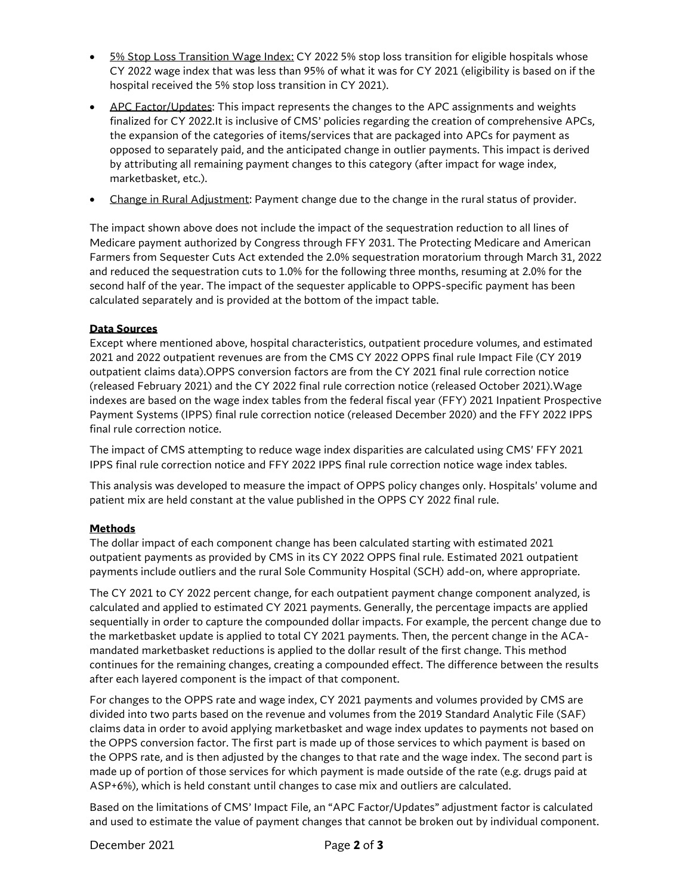- 5% Stop Loss Transition Wage Index: CY 2022 5% stop loss transition for eligible hospitals whose CY 2022 wage index that was less than 95% of what it was for CY 2021 (eligibility is based on if the hospital received the 5% stop loss transition in CY 2021).
- APC Factor/Updates: This impact represents the changes to the APC assignments and weights finalized for CY 2022.It is inclusive of CMS' policies regarding the creation of comprehensive APCs, the expansion of the categories of items/services that are packaged into APCs for payment as opposed to separately paid, and the anticipated change in outlier payments. This impact is derived by attributing all remaining payment changes to this category (after impact for wage index, marketbasket, etc.).
- Change in Rural Adjustment: Payment change due to the change in the rural status of provider.

The impact shown above does not include the impact of the sequestration reduction to all lines of Medicare payment authorized by Congress through FFY 2031. The Protecting Medicare and American Farmers from Sequester Cuts Act extended the 2.0% sequestration moratorium through March 31, 2022 and reduced the sequestration cuts to 1.0% for the following three months, resuming at 2.0% for the second half of the year. The impact of the sequester applicable to OPPS-specific payment has been calculated separately and is provided at the bottom of the impact table.

#### **Data Sources**

Except where mentioned above, hospital characteristics, outpatient procedure volumes, and estimated 2021 and 2022 outpatient revenues are from the CMS CY 2022 OPPS final rule Impact File (CY 2019 outpatient claims data).OPPS conversion factors are from the CY 2021 final rule correction notice (released February 2021) and the CY 2022 final rule correction notice (released October 2021).Wage indexes are based on the wage index tables from the federal fiscal year (FFY) 2021 Inpatient Prospective Payment Systems (IPPS) final rule correction notice (released December 2020) and the FFY 2022 IPPS final rule correction notice.

The impact of CMS attempting to reduce wage index disparities are calculated using CMS' FFY 2021 IPPS final rule correction notice and FFY 2022 IPPS final rule correction notice wage index tables.

This analysis was developed to measure the impact of OPPS policy changes only. Hospitals' volume and patient mix are held constant at the value published in the OPPS CY 2022 final rule.

#### **Methods**

The dollar impact of each component change has been calculated starting with estimated 2021 outpatient payments as provided by CMS in its CY 2022 OPPS final rule. Estimated 2021 outpatient payments include outliers and the rural Sole Community Hospital (SCH) add-on, where appropriate.

The CY 2021 to CY 2022 percent change, for each outpatient payment change component analyzed, is calculated and applied to estimated CY 2021 payments. Generally, the percentage impacts are applied sequentially in order to capture the compounded dollar impacts. For example, the percent change due to the marketbasket update is applied to total CY 2021 payments. Then, the percent change in the ACAmandated marketbasket reductions is applied to the dollar result of the first change. This method continues for the remaining changes, creating a compounded effect. The difference between the results after each layered component is the impact of that component.

For changes to the OPPS rate and wage index, CY 2021 payments and volumes provided by CMS are divided into two parts based on the revenue and volumes from the 2019 Standard Analytic File (SAF) claims data in order to avoid applying marketbasket and wage index updates to payments not based on the OPPS conversion factor. The first part is made up of those services to which payment is based on the OPPS rate, and is then adjusted by the changes to that rate and the wage index. The second part is made up of portion of those services for which payment is made outside of the rate (e.g. drugs paid at ASP+6%), which is held constant until changes to case mix and outliers are calculated.

Based on the limitations of CMS' Impact File, an "APC Factor/Updates" adjustment factor is calculated and used to estimate the value of payment changes that cannot be broken out by individual component.